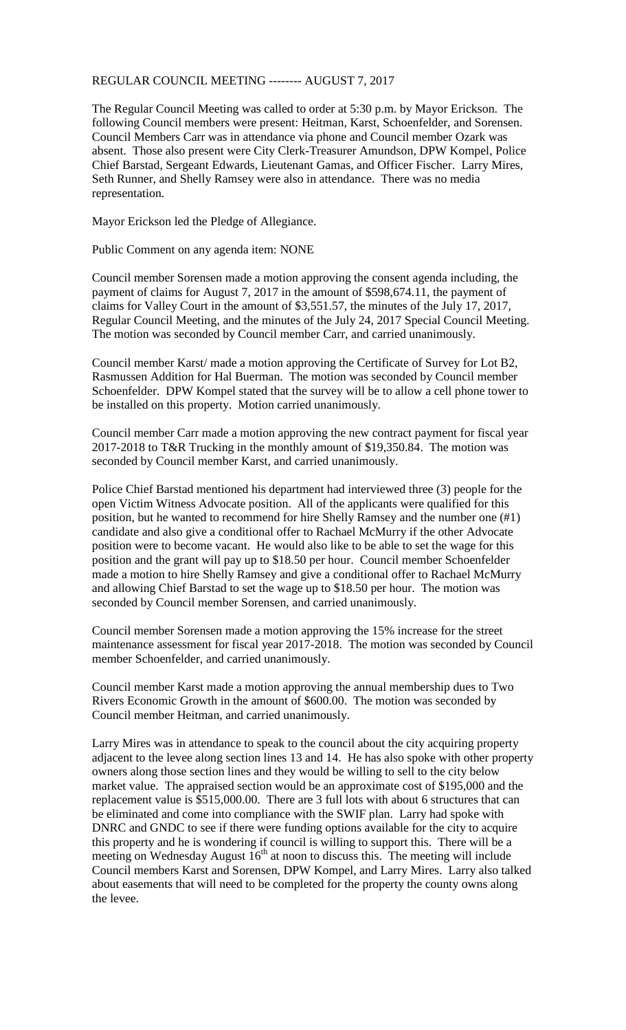## REGULAR COUNCIL MEETING -------- AUGUST 7, 2017

The Regular Council Meeting was called to order at 5:30 p.m. by Mayor Erickson. The following Council members were present: Heitman, Karst, Schoenfelder, and Sorensen. Council Members Carr was in attendance via phone and Council member Ozark was absent. Those also present were City Clerk-Treasurer Amundson, DPW Kompel, Police Chief Barstad, Sergeant Edwards, Lieutenant Gamas, and Officer Fischer. Larry Mires, Seth Runner, and Shelly Ramsey were also in attendance. There was no media representation.

Mayor Erickson led the Pledge of Allegiance.

Public Comment on any agenda item: NONE

Council member Sorensen made a motion approving the consent agenda including, the payment of claims for August 7, 2017 in the amount of \$598,674.11, the payment of claims for Valley Court in the amount of \$3,551.57, the minutes of the July 17, 2017, Regular Council Meeting, and the minutes of the July 24, 2017 Special Council Meeting. The motion was seconded by Council member Carr, and carried unanimously.

Council member Karst/ made a motion approving the Certificate of Survey for Lot B2, Rasmussen Addition for Hal Buerman. The motion was seconded by Council member Schoenfelder. DPW Kompel stated that the survey will be to allow a cell phone tower to be installed on this property. Motion carried unanimously.

Council member Carr made a motion approving the new contract payment for fiscal year 2017-2018 to T&R Trucking in the monthly amount of \$19,350.84. The motion was seconded by Council member Karst, and carried unanimously.

Police Chief Barstad mentioned his department had interviewed three (3) people for the open Victim Witness Advocate position. All of the applicants were qualified for this position, but he wanted to recommend for hire Shelly Ramsey and the number one (#1) candidate and also give a conditional offer to Rachael McMurry if the other Advocate position were to become vacant. He would also like to be able to set the wage for this position and the grant will pay up to \$18.50 per hour. Council member Schoenfelder made a motion to hire Shelly Ramsey and give a conditional offer to Rachael McMurry and allowing Chief Barstad to set the wage up to \$18.50 per hour. The motion was seconded by Council member Sorensen, and carried unanimously.

Council member Sorensen made a motion approving the 15% increase for the street maintenance assessment for fiscal year 2017-2018. The motion was seconded by Council member Schoenfelder, and carried unanimously.

Council member Karst made a motion approving the annual membership dues to Two Rivers Economic Growth in the amount of \$600.00. The motion was seconded by Council member Heitman, and carried unanimously.

Larry Mires was in attendance to speak to the council about the city acquiring property adjacent to the levee along section lines 13 and 14. He has also spoke with other property owners along those section lines and they would be willing to sell to the city below market value. The appraised section would be an approximate cost of \$195,000 and the replacement value is \$515,000.00. There are 3 full lots with about 6 structures that can be eliminated and come into compliance with the SWIF plan. Larry had spoke with DNRC and GNDC to see if there were funding options available for the city to acquire this property and he is wondering if council is willing to support this. There will be a meeting on Wednesday August  $16<sup>th</sup>$  at noon to discuss this. The meeting will include Council members Karst and Sorensen, DPW Kompel, and Larry Mires. Larry also talked about easements that will need to be completed for the property the county owns along the levee.